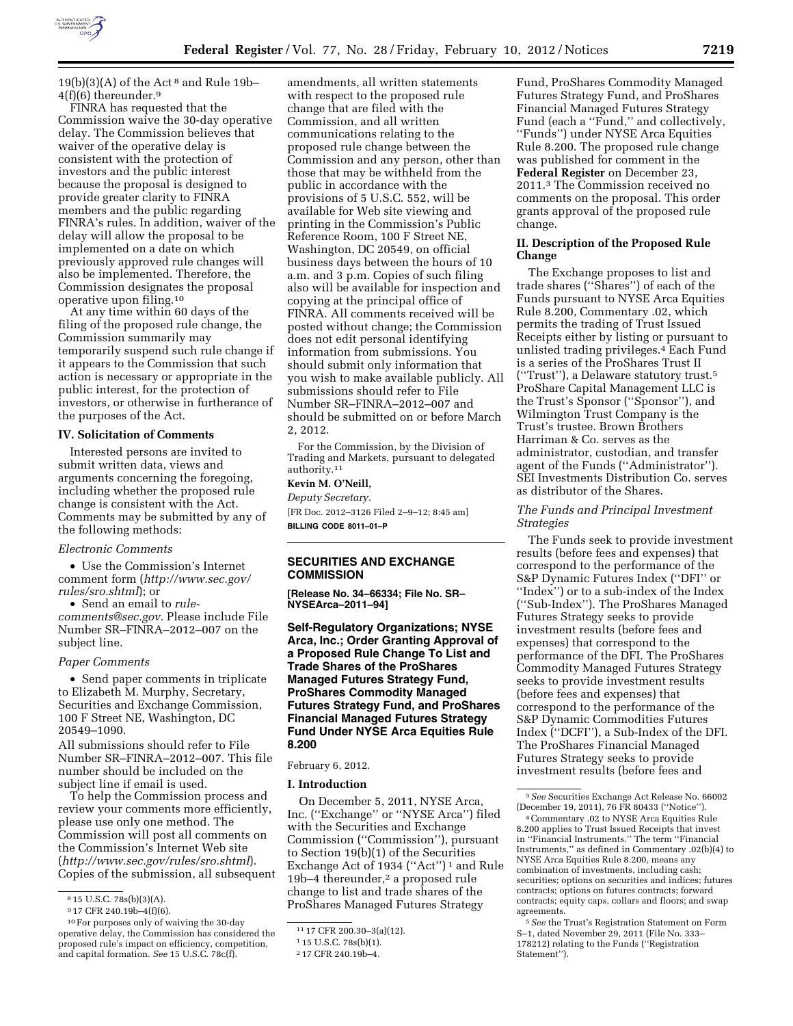

 $19(b)(3)(A)$  of the Act<sup>8</sup> and Rule 19b-4(f)(6) thereunder.9

FINRA has requested that the Commission waive the 30-day operative delay. The Commission believes that waiver of the operative delay is consistent with the protection of investors and the public interest because the proposal is designed to provide greater clarity to FINRA members and the public regarding FINRA's rules. In addition, waiver of the delay will allow the proposal to be implemented on a date on which previously approved rule changes will also be implemented. Therefore, the Commission designates the proposal operative upon filing.10

At any time within 60 days of the filing of the proposed rule change, the Commission summarily may temporarily suspend such rule change if it appears to the Commission that such action is necessary or appropriate in the public interest, for the protection of investors, or otherwise in furtherance of the purposes of the Act.

#### **IV. Solicitation of Comments**

Interested persons are invited to submit written data, views and arguments concerning the foregoing, including whether the proposed rule change is consistent with the Act. Comments may be submitted by any of the following methods:

#### *Electronic Comments*

• Use the Commission's Internet comment form (*[http://www.sec.gov/](http://www.sec.gov/rules/sro.shtml)  [rules/sro.shtml](http://www.sec.gov/rules/sro.shtml)*); or

• Send an email to *[rule](mailto:rule-comments@sec.gov)[comments@sec.gov.](mailto:rule-comments@sec.gov)* Please include File Number SR–FINRA–2012–007 on the subject line.

#### *Paper Comments*

• Send paper comments in triplicate to Elizabeth M. Murphy, Secretary, Securities and Exchange Commission, 100 F Street NE, Washington, DC 20549–1090.

All submissions should refer to File Number SR–FINRA–2012–007. This file number should be included on the subject line if email is used.

To help the Commission process and review your comments more efficiently, please use only one method. The Commission will post all comments on the Commission's Internet Web site (*<http://www.sec.gov/rules/sro.shtml>*). Copies of the submission, all subsequent

amendments, all written statements with respect to the proposed rule change that are filed with the Commission, and all written communications relating to the proposed rule change between the Commission and any person, other than those that may be withheld from the public in accordance with the provisions of 5 U.S.C. 552, will be available for Web site viewing and printing in the Commission's Public Reference Room, 100 F Street NE, Washington, DC 20549, on official business days between the hours of 10 a.m. and 3 p.m. Copies of such filing also will be available for inspection and copying at the principal office of FINRA. All comments received will be posted without change; the Commission does not edit personal identifying information from submissions. You should submit only information that you wish to make available publicly. All submissions should refer to File Number SR–FINRA–2012–007 and should be submitted on or before March 2, 2012.

For the Commission, by the Division of Trading and Markets, pursuant to delegated authority.11

# **Kevin M. O'Neill,**

*Deputy Secretary.*  [FR Doc. 2012–3126 Filed 2–9–12; 8:45 am] **BILLING CODE 8011–01–P** 

# **SECURITIES AND EXCHANGE COMMISSION**

**[Release No. 34–66334; File No. SR– NYSEArca–2011–94]** 

**Self-Regulatory Organizations; NYSE Arca, Inc.; Order Granting Approval of a Proposed Rule Change To List and Trade Shares of the ProShares Managed Futures Strategy Fund, ProShares Commodity Managed Futures Strategy Fund, and ProShares Financial Managed Futures Strategy Fund Under NYSE Arca Equities Rule 8.200** 

February 6, 2012.

#### **I. Introduction**

On December 5, 2011, NYSE Arca, Inc. (''Exchange'' or ''NYSE Arca'') filed with the Securities and Exchange Commission (''Commission''), pursuant to Section 19(b)(1) of the Securities Exchange Act of 1934 ("Act")<sup>1</sup> and Rule 19b–4 thereunder,2 a proposed rule change to list and trade shares of the ProShares Managed Futures Strategy

Fund, ProShares Commodity Managed Futures Strategy Fund, and ProShares Financial Managed Futures Strategy Fund (each a "Fund," and collectively, ''Funds'') under NYSE Arca Equities Rule 8.200. The proposed rule change was published for comment in the **Federal Register** on December 23, 2011.3 The Commission received no comments on the proposal. This order grants approval of the proposed rule change.

## **II. Description of the Proposed Rule Change**

The Exchange proposes to list and trade shares (''Shares'') of each of the Funds pursuant to NYSE Arca Equities Rule 8.200, Commentary .02, which permits the trading of Trust Issued Receipts either by listing or pursuant to unlisted trading privileges.4 Each Fund is a series of the ProShares Trust II (''Trust''), a Delaware statutory trust.5 ProShare Capital Management LLC is the Trust's Sponsor (''Sponsor''), and Wilmington Trust Company is the Trust's trustee. Brown Brothers Harriman & Co. serves as the administrator, custodian, and transfer agent of the Funds (''Administrator''). SEI Investments Distribution Co. serves as distributor of the Shares.

## *The Funds and Principal Investment Strategies*

The Funds seek to provide investment results (before fees and expenses) that correspond to the performance of the S&P Dynamic Futures Index (''DFI'' or ''Index'') or to a sub-index of the Index (''Sub-Index''). The ProShares Managed Futures Strategy seeks to provide investment results (before fees and expenses) that correspond to the performance of the DFI. The ProShares Commodity Managed Futures Strategy seeks to provide investment results (before fees and expenses) that correspond to the performance of the S&P Dynamic Commodities Futures Index (''DCFI''), a Sub-Index of the DFI. The ProShares Financial Managed Futures Strategy seeks to provide investment results (before fees and

3*See* Securities Exchange Act Release No. 66002 (December 19, 2011), 76 FR 80433 (''Notice'').

4Commentary .02 to NYSE Arca Equities Rule 8.200 applies to Trust Issued Receipts that invest in ''Financial Instruments.'' The term ''Financial Instruments,'' as defined in Commentary .02(b)(4) to NYSE Arca Equities Rule 8.200, means any combination of investments, including cash; securities; options on securities and indices; futures contracts; options on futures contracts; forward contracts; equity caps, collars and floors; and swap agreements.

5*See* the Trust's Registration Statement on Form S–1, dated November 29, 2011 (File No. 333– 178212) relating to the Funds (''Registration Statement'').

<sup>8</sup> 15 U.S.C. 78s(b)(3)(A).

<sup>9</sup> 17 CFR 240.19b–4(f)(6).

<sup>10</sup>For purposes only of waiving the 30-day operative delay, the Commission has considered the proposed rule's impact on efficiency, competition, and capital formation. *See* 15 U.S.C. 78c(f).

<sup>11</sup> 17 CFR 200.30–3(a)(12).

<sup>1</sup> 15 U.S.C. 78s(b)(1).

<sup>2</sup> 17 CFR 240.19b–4.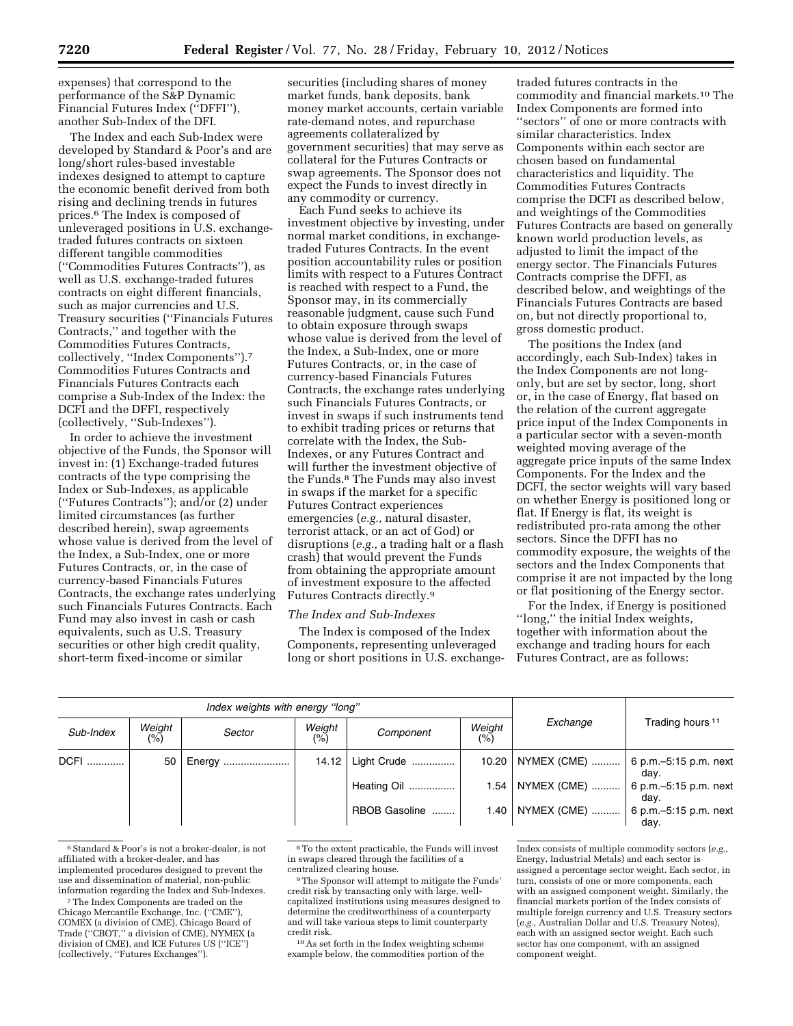expenses) that correspond to the performance of the S&P Dynamic Financial Futures Index (''DFFI''), another Sub-Index of the DFI.

The Index and each Sub-Index were developed by Standard & Poor's and are long/short rules-based investable indexes designed to attempt to capture the economic benefit derived from both rising and declining trends in futures prices.6 The Index is composed of unleveraged positions in U.S. exchangetraded futures contracts on sixteen different tangible commodities (''Commodities Futures Contracts''), as well as U.S. exchange-traded futures contracts on eight different financials, such as major currencies and U.S. Treasury securities (''Financials Futures Contracts,'' and together with the Commodities Futures Contracts, collectively, ''Index Components'').7 Commodities Futures Contracts and Financials Futures Contracts each comprise a Sub-Index of the Index: the DCFI and the DFFI, respectively (collectively, ''Sub-Indexes'').

In order to achieve the investment objective of the Funds, the Sponsor will invest in: (1) Exchange-traded futures contracts of the type comprising the Index or Sub-Indexes, as applicable (''Futures Contracts''); and/or (2) under limited circumstances (as further described herein), swap agreements whose value is derived from the level of the Index, a Sub-Index, one or more Futures Contracts, or, in the case of currency-based Financials Futures Contracts, the exchange rates underlying such Financials Futures Contracts. Each Fund may also invest in cash or cash equivalents, such as U.S. Treasury securities or other high credit quality, short-term fixed-income or similar

securities (including shares of money market funds, bank deposits, bank money market accounts, certain variable rate-demand notes, and repurchase agreements collateralized by government securities) that may serve as collateral for the Futures Contracts or swap agreements. The Sponsor does not expect the Funds to invest directly in any commodity or currency.

Each Fund seeks to achieve its investment objective by investing, under normal market conditions, in exchangetraded Futures Contracts. In the event position accountability rules or position limits with respect to a Futures Contract is reached with respect to a Fund, the Sponsor may, in its commercially reasonable judgment, cause such Fund to obtain exposure through swaps whose value is derived from the level of the Index, a Sub-Index, one or more Futures Contracts, or, in the case of currency-based Financials Futures Contracts, the exchange rates underlying such Financials Futures Contracts, or invest in swaps if such instruments tend to exhibit trading prices or returns that correlate with the Index, the Sub-Indexes, or any Futures Contract and will further the investment objective of the Funds.8 The Funds may also invest in swaps if the market for a specific Futures Contract experiences emergencies (*e.g.,* natural disaster, terrorist attack, or an act of God) or disruptions (*e.g.,* a trading halt or a flash crash) that would prevent the Funds from obtaining the appropriate amount of investment exposure to the affected Futures Contracts directly.<sup>9</sup>

#### *The Index and Sub-Indexes*

The Index is composed of the Index Components, representing unleveraged long or short positions in U.S. exchange-

traded futures contracts in the commodity and financial markets.10 The Index Components are formed into ''sectors'' of one or more contracts with similar characteristics. Index Components within each sector are chosen based on fundamental characteristics and liquidity. The Commodities Futures Contracts comprise the DCFI as described below, and weightings of the Commodities Futures Contracts are based on generally known world production levels, as adjusted to limit the impact of the energy sector. The Financials Futures Contracts comprise the DFFI, as described below, and weightings of the Financials Futures Contracts are based on, but not directly proportional to, gross domestic product.

The positions the Index (and accordingly, each Sub-Index) takes in the Index Components are not longonly, but are set by sector, long, short or, in the case of Energy, flat based on the relation of the current aggregate price input of the Index Components in a particular sector with a seven-month weighted moving average of the aggregate price inputs of the same Index Components. For the Index and the DCFI, the sector weights will vary based on whether Energy is positioned long or flat. If Energy is flat, its weight is redistributed pro-rata among the other sectors. Since the DFFI has no commodity exposure, the weights of the sectors and the Index Components that comprise it are not impacted by the long or flat positioning of the Energy sector.

For the Index, if Energy is positioned ''long,'' the initial Index weights, together with information about the exchange and trading hours for each Futures Contract, are as follows:

|             |                         | Index weights with energy "long" |               |               |               |                                      |                             |  |
|-------------|-------------------------|----------------------------------|---------------|---------------|---------------|--------------------------------------|-----------------------------|--|
| Sub-Index   | Weight<br>$\frac{1}{2}$ | Sector                           | Weight<br>(%) | Component     | Weight<br>(%) | Exchange                             | Trading hours <sup>11</sup> |  |
| <b>DCFI</b> | 50                      | Energy                           | 14.12         | Light Crude   | 10.20         | NYMEX (CME)    6 p.m.–5:15 p.m. next | day.                        |  |
|             |                         |                                  |               | Heating Oil   | 1.54          | NYMEX (CME)  6 p.m. - 5:15 p.m. next | day.                        |  |
|             |                         |                                  |               | RBOB Gasoline | 1.40          | NYMEX (CME)  6 p.m. - 5:15 p.m. next | dav.                        |  |

<sup>6</sup>Standard & Poor's is not a broker-dealer, is not affiliated with a broker-dealer, and has implemented procedures designed to prevent the use and dissemination of material, non-public information regarding the Index and Sub-Indexes.

10As set forth in the Index weighting scheme example below, the commodities portion of the

<sup>7</sup>The Index Components are traded on the Chicago Mercantile Exchange, Inc. (''CME''), COMEX (a division of CME), Chicago Board of Trade (''CBOT,'' a division of CME), NYMEX (a division of CME), and ICE Futures US (''ICE'') (collectively, ''Futures Exchanges'').

<sup>8</sup>To the extent practicable, the Funds will invest in swaps cleared through the facilities of a centralized clearing house.

<sup>9</sup>The Sponsor will attempt to mitigate the Funds' credit risk by transacting only with large, wellcapitalized institutions using measures designed to determine the creditworthiness of a counterparty and will take various steps to limit counterparty credit risk.

Index consists of multiple commodity sectors (*e.g.,*  Energy, Industrial Metals) and each sector is assigned a percentage sector weight. Each sector, in turn, consists of one or more components, each with an assigned component weight. Similarly, the financial markets portion of the Index consists of multiple foreign currency and U.S. Treasury sectors (*e.g.,* Australian Dollar and U.S. Treasury Notes), each with an assigned sector weight. Each such sector has one component, with an assigned component weight.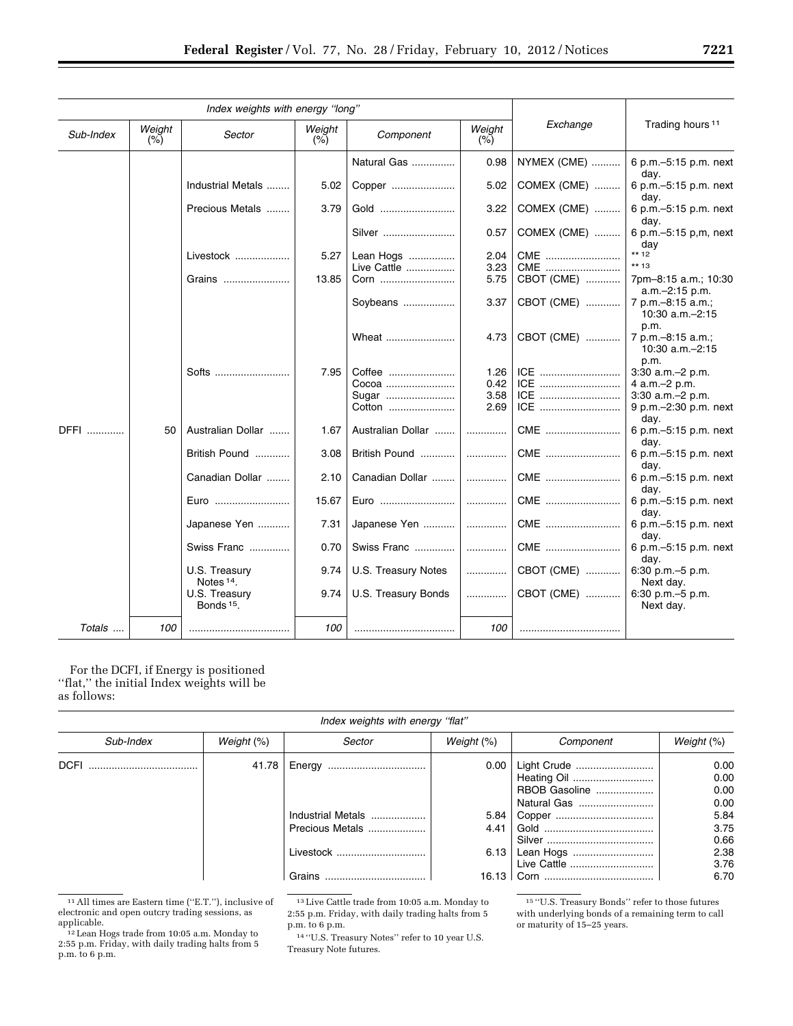| Index weights with energy "long" |                  |                                        |       |                               |      |             |                                                |  |
|----------------------------------|------------------|----------------------------------------|-------|-------------------------------|------|-------------|------------------------------------------------|--|
| Sub-Index                        | Weight<br>$(\%)$ | Weight<br>Sector<br>$(\%)$             |       | Weight<br>Component<br>$(\%)$ |      | Exchange    | Trading hours <sup>11</sup>                    |  |
|                                  |                  |                                        |       | Natural Gas                   | 0.98 | NYMEX (CME) | 6 p.m. - 5:15 p.m. next<br>day.                |  |
|                                  |                  | Industrial Metals                      | 5.02  | Copper                        | 5.02 | COMEX (CME) | 6 p.m. - 5:15 p.m. next<br>dav.                |  |
|                                  |                  | Precious Metals                        | 3.79  | Gold                          | 3.22 | COMEX (CME) | 6 p.m. - 5:15 p.m. next<br>day.                |  |
|                                  |                  |                                        |       | Silver                        | 0.57 | COMEX (CME) | 6 p.m. - 5:15 p.m. next<br>day                 |  |
|                                  |                  | Livestock                              | 5.27  | Lean Hogs                     | 2.04 | CME         | $*** 12$                                       |  |
|                                  |                  |                                        |       | Live Cattle                   | 3.23 | CME         | $***13$                                        |  |
|                                  |                  | Grains                                 | 13.85 | Corn                          | 5.75 | CBOT (CME)  | 7pm-8:15 a.m.; 10:30<br>a.m.-2:15 p.m.         |  |
|                                  |                  |                                        |       | Soybeans                      | 3.37 | CBOT (CME)  | 7 p.m. - 8:15 a.m.;<br>10:30 a.m.-2:15<br>p.m. |  |
|                                  |                  |                                        |       | Wheat                         | 4.73 | CBOT (CME)  | 7 p.m. - 8:15 a.m.;<br>10:30 a.m.-2:15<br>p.m. |  |
|                                  |                  | Softs                                  | 7.95  | Coffee                        | 1.26 | ICE         | 3:30 a.m.-2 p.m.                               |  |
|                                  |                  |                                        |       | Cocoa                         | 0.42 | ICE         | 4 a.m. - 2 p.m.                                |  |
|                                  |                  |                                        |       | Sugar                         | 3.58 | ICE         | 3:30 a.m.-2 p.m.                               |  |
|                                  |                  |                                        |       | Cotton                        | 2.69 | ICE         | 9 p.m.-2:30 p.m. next<br>day.                  |  |
| DFFI                             | 50               | Australian Dollar                      | 1.67  | Australian Dollar             | .    | CME         | 6 p.m. - 5:15 p.m. next<br>day.                |  |
|                                  |                  | British Pound                          | 3.08  | British Pound                 | .    | CME         | 6 p.m. - 5:15 p.m. next<br>day.                |  |
|                                  |                  | Canadian Dollar                        | 2.10  | Canadian Dollar               | .    | CME         | 6 p.m. - 5:15 p.m. next<br>day.                |  |
|                                  |                  | Euro                                   | 15.67 |                               |      | CME         | 6 p.m. - 5:15 p.m. next<br>day.                |  |
|                                  |                  | Japanese Yen                           | 7.31  | Japanese Yen                  | .    | CME         | 6 p.m. - 5:15 p.m. next<br>day.                |  |
|                                  |                  | Swiss Franc                            | 0.70  | Swiss Franc                   | .    | CME         | 6 p.m. - 5:15 p.m. next<br>dav.                |  |
|                                  |                  | U.S. Treasury<br>Notes <sup>14</sup> . | 9.74  | U.S. Treasury Notes           | .    | CBOT (CME)  | 6:30 p.m. - 5 p.m.<br>Next day.                |  |
|                                  |                  | U.S. Treasury<br>Bonds <sup>15</sup> . | 9.74  | U.S. Treasury Bonds           | .    | CBOT (CME)  | 6:30 p.m. - 5 p.m.<br>Next day.                |  |
| Totals                           | 100              |                                        | 100   |                               | 100  |             |                                                |  |

For the DCFI, if Energy is positioned ''flat,'' the initial Index weights will be as follows:

| Index weights with energy "flat" |               |                   |               |               |              |
|----------------------------------|---------------|-------------------|---------------|---------------|--------------|
| Sub-Index                        | Weight $(\%)$ | Sector            | Weight $(\%)$ | Component     | Weight (%)   |
| <b>DCFI</b>                      | 41.78         |                   | 0.00          | Light Crude   | 0.00<br>0.00 |
|                                  |               |                   |               | RBOB Gasoline | 0.00         |
|                                  |               | Industrial Metals | 5.84          | Natural Gas   | 0.00<br>5.84 |
|                                  |               | Precious Metals   | 4.41          |               | 3.75<br>0.66 |
|                                  |               | Livestock         | 6.13          | Lean Hogs     | 2.38<br>3.76 |
|                                  |               | <b>Grains</b>     | 16.13         |               | 6.70         |

 $^{\rm 11}\!\!\rm{All}$  times are Eastern time (''E.T.''), inclusive of electronic and open outcry trading sessions, as

 $12$  Lean Hogs trade from 10:05 a.m. Monday to 2:55 p.m. Friday, with daily trading halts from 5 p.m. to 6 p.m.

13Live Cattle trade from 10:05 a.m. Monday to 2:55 p.m. Friday, with daily trading halts from 5 p.m. to 6 p.m.

14 ''U.S. Treasury Notes'' refer to 10 year U.S. Treasury Note futures.

15 ''U.S. Treasury Bonds'' refer to those futures with underlying bonds of a remaining term to call or maturity of 15–25 years.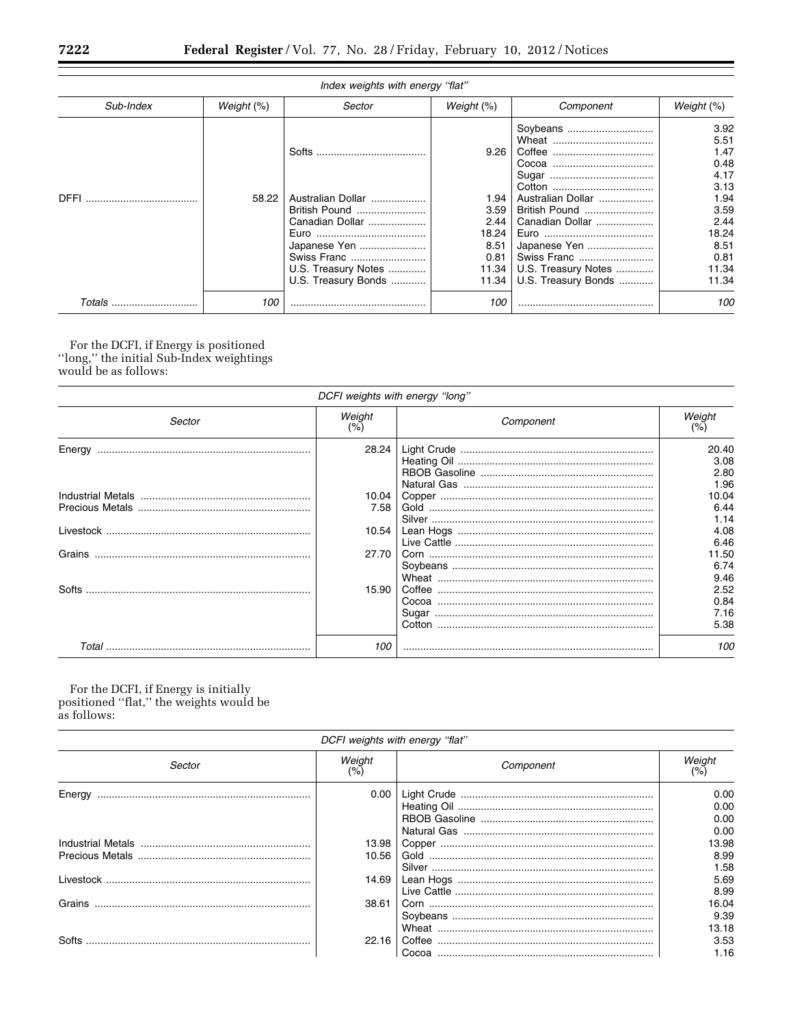| Index weights with energy "flat" |               |                                                                                                                                             |                                                                         |                                                                                                                                                |                                                                                                                 |  |
|----------------------------------|---------------|---------------------------------------------------------------------------------------------------------------------------------------------|-------------------------------------------------------------------------|------------------------------------------------------------------------------------------------------------------------------------------------|-----------------------------------------------------------------------------------------------------------------|--|
| Sub-Index                        | Weight $(\%)$ | Sector                                                                                                                                      | Weight $(\%)$                                                           | Component                                                                                                                                      | Weight (%)                                                                                                      |  |
| <b>DFFI</b>                      | 58.22         | Softs<br>Australian Dollar<br>British Pound<br>Canadian Dollar<br>Japanese Yen<br>Swiss Franc<br>U.S. Treasury Notes<br>U.S. Treasury Bonds | 9.26<br>1.94<br>3.59<br>2.44<br>18.24<br>8.51<br>0.81<br>11.34<br>11.34 | Soybeans<br>Australian Dollar<br>British Pound<br>Canadian Dollar<br>Japanese Yen<br>Swiss Franc<br>U.S. Treasury Notes<br>U.S. Treasury Bonds | 3.92<br>5.51<br>1.47<br>0.48<br>4.17<br>3.13<br>1.94<br>3.59<br>2.44<br>18.24<br>8.51<br>0.81<br>11.34<br>11.34 |  |
| Totals                           | 100           |                                                                                                                                             | 100                                                                     |                                                                                                                                                | 100                                                                                                             |  |

For the DCFI, if Energy is positioned "long," the initial Sub-Index weightings would be as follows:

| DCFI weights with energy "long" |               |           |                               |  |
|---------------------------------|---------------|-----------|-------------------------------|--|
| Sector                          | Weight<br>(%) | Component | Weight                        |  |
| Energy                          | 28.24         |           | 20.40<br>3.08<br>2.80<br>1.96 |  |
|                                 | 10.04<br>7.58 |           | 10.04<br>6.44<br>1.14         |  |
|                                 | 10.54         |           | 4.08<br>6.46                  |  |
| Grains                          | 27.70         |           | 11.50<br>6.74<br>9.46         |  |
| Softs                           | 15.90         |           | 2.52<br>0.84<br>7.16<br>5.38  |  |
| Total                           | 100           |           | 100                           |  |

For the DCFI, if Energy is initially<br>positioned "flat," the weights would be as follows:

| DCFI weights with energy "flat" |               |           |                              |  |
|---------------------------------|---------------|-----------|------------------------------|--|
| Sector                          | Weight<br>(%) | Component | Weight                       |  |
| Enerav                          | 0.00          |           | 0.00<br>0.00<br>0.00<br>0.00 |  |
|                                 | 13.98         |           | 13.98                        |  |
|                                 | 10.56         |           | 8.99<br>1.58                 |  |
|                                 | 14.69         |           | 5.69<br>8.99                 |  |
| Grains                          | 38.61         |           | 16.04<br>9.39                |  |
|                                 | 22.16         |           | 13.18<br>3.53                |  |
|                                 |               |           | 1.16                         |  |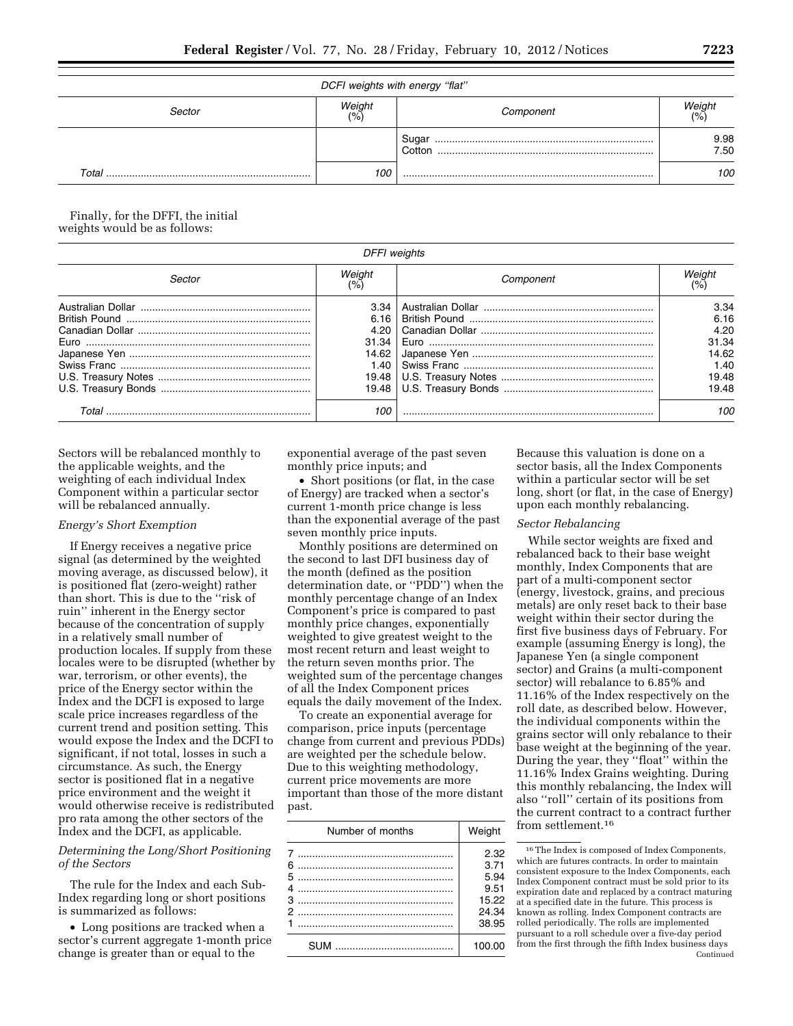| DCFI weights with energy "flat"                       |     |                                                                                                                                                                                                                                                                                                                                                                                                                                                                |              |  |  |
|-------------------------------------------------------|-----|----------------------------------------------------------------------------------------------------------------------------------------------------------------------------------------------------------------------------------------------------------------------------------------------------------------------------------------------------------------------------------------------------------------------------------------------------------------|--------------|--|--|
| Weight<br>Weight<br>Sector<br>Component<br>(%<br>(% ) |     |                                                                                                                                                                                                                                                                                                                                                                                                                                                                |              |  |  |
|                                                       |     | Sugar<br>$\begin{minipage}{0.5\textwidth} \begin{tabular}{ l l l } \hline \multicolumn{1}{ l l l } \hline \multicolumn{1}{ l l } \multicolumn{1}{ l } \multicolumn{1}{ l } \multicolumn{1}{ l } \multicolumn{1}{ l } \multicolumn{1}{ l } \multicolumn{1}{ l } \multicolumn{1}{ l } \multicolumn{1}{ l } \multicolumn{1}{ l } \multicolumn{1}{ l } \multicolumn{1}{ l } \multicolumn{1}{ l } \multicolumn{1}{ l } \multicolumn{1}{ l } \multicolumn$<br>Cotton | 9.98<br>7.50 |  |  |
| Total                                                 | 100 |                                                                                                                                                                                                                                                                                                                                                                                                                                                                | 100          |  |  |

Finally, for the DFFI, the initial weights would be as follows:

| <b>DFFI</b> weights |        |           |                    |  |
|---------------------|--------|-----------|--------------------|--|
| Sector              | Weight | Component | Weign <sup>,</sup> |  |
|                     | 3.34   |           | 3.34               |  |
|                     | 6.16   |           | 6.16               |  |
|                     | 4.20   |           | 4.20               |  |
|                     | 31.34  |           | 31.34              |  |
|                     | 14.62  |           | 14.62              |  |
|                     | 1.40   |           | 1.40               |  |
|                     |        |           | 19.48              |  |
|                     |        |           | 19.48              |  |
| Total               | 100    |           | 100                |  |

Sectors will be rebalanced monthly to the applicable weights, and the weighting of each individual Index Component within a particular sector will be rebalanced annually.

### *Energy's Short Exemption*

If Energy receives a negative price signal (as determined by the weighted moving average, as discussed below), it is positioned flat (zero-weight) rather than short. This is due to the ''risk of ruin'' inherent in the Energy sector because of the concentration of supply in a relatively small number of production locales. If supply from these locales were to be disrupted (whether by war, terrorism, or other events), the price of the Energy sector within the Index and the DCFI is exposed to large scale price increases regardless of the current trend and position setting. This would expose the Index and the DCFI to significant, if not total, losses in such a circumstance. As such, the Energy sector is positioned flat in a negative price environment and the weight it would otherwise receive is redistributed pro rata among the other sectors of the Index and the DCFI, as applicable.

### *Determining the Long/Short Positioning of the Sectors*

The rule for the Index and each Sub-Index regarding long or short positions is summarized as follows:

• Long positions are tracked when a sector's current aggregate 1-month price change is greater than or equal to the

exponential average of the past seven monthly price inputs; and

• Short positions (or flat, in the case of Energy) are tracked when a sector's current 1-month price change is less than the exponential average of the past seven monthly price inputs.

Monthly positions are determined on the second to last DFI business day of the month (defined as the position determination date, or "PDD") when the monthly percentage change of an Index Component's price is compared to past monthly price changes, exponentially weighted to give greatest weight to the most recent return and least weight to the return seven months prior. The weighted sum of the percentage changes of all the Index Component prices equals the daily movement of the Index.

To create an exponential average for comparison, price inputs (percentage change from current and previous PDDs) are weighted per the schedule below. Due to this weighting methodology, current price movements are more important than those of the more distant past.

|        | Number of months | Weight                                |
|--------|------------------|---------------------------------------|
| 6<br>5 |                  | 2.32<br>3.71<br>5.94<br>9.51<br>15.22 |
|        |                  | 24.34<br>38.95                        |
|        |                  | 100.00                                |

Because this valuation is done on a sector basis, all the Index Components within a particular sector will be set long, short (or flat, in the case of Energy) upon each monthly rebalancing.

### *Sector Rebalancing*

While sector weights are fixed and rebalanced back to their base weight monthly, Index Components that are part of a multi-component sector (energy, livestock, grains, and precious metals) are only reset back to their base weight within their sector during the first five business days of February. For example (assuming Energy is long), the Japanese Yen (a single component sector) and Grains (a multi-component sector) will rebalance to 6.85% and 11.16% of the Index respectively on the roll date, as described below. However, the individual components within the grains sector will only rebalance to their base weight at the beginning of the year. During the year, they ''float'' within the 11.16% Index Grains weighting. During this monthly rebalancing, the Index will also ''roll'' certain of its positions from the current contract to a contract further from settlement.16

<sup>16</sup>The Index is composed of Index Components, which are futures contracts. In order to maintain consistent exposure to the Index Components, each Index Component contract must be sold prior to its expiration date and replaced by a contract maturing at a specified date in the future. This process is known as rolling. Index Component contracts are rolled periodically. The rolls are implemented pursuant to a roll schedule over a five-day period from the first through the fifth Index business days Continued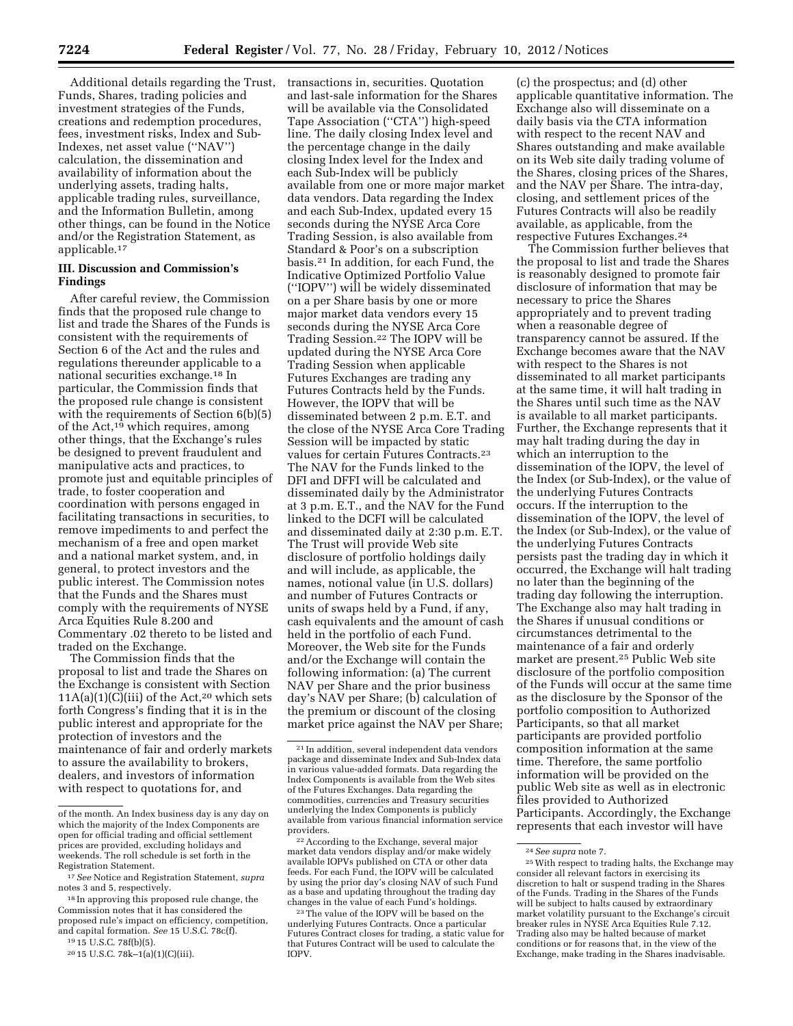Additional details regarding the Trust, Funds, Shares, trading policies and investment strategies of the Funds, creations and redemption procedures, fees, investment risks, Index and Sub-Indexes, net asset value (''NAV'') calculation, the dissemination and availability of information about the underlying assets, trading halts, applicable trading rules, surveillance, and the Information Bulletin, among other things, can be found in the Notice and/or the Registration Statement, as applicable.17

## **III. Discussion and Commission's Findings**

After careful review, the Commission finds that the proposed rule change to list and trade the Shares of the Funds is consistent with the requirements of Section 6 of the Act and the rules and regulations thereunder applicable to a national securities exchange.18 In particular, the Commission finds that the proposed rule change is consistent with the requirements of Section 6(b)(5) of the Act, $19$  which requires, among other things, that the Exchange's rules be designed to prevent fraudulent and manipulative acts and practices, to promote just and equitable principles of trade, to foster cooperation and coordination with persons engaged in facilitating transactions in securities, to remove impediments to and perfect the mechanism of a free and open market and a national market system, and, in general, to protect investors and the public interest. The Commission notes that the Funds and the Shares must comply with the requirements of NYSE Arca Equities Rule 8.200 and Commentary .02 thereto to be listed and traded on the Exchange.

The Commission finds that the proposal to list and trade the Shares on the Exchange is consistent with Section  $11A(a)(1)(C)(iii)$  of the Act,<sup>20</sup> which sets forth Congress's finding that it is in the public interest and appropriate for the protection of investors and the maintenance of fair and orderly markets to assure the availability to brokers, dealers, and investors of information with respect to quotations for, and

transactions in, securities. Quotation and last-sale information for the Shares will be available via the Consolidated Tape Association (''CTA'') high-speed line. The daily closing Index level and the percentage change in the daily closing Index level for the Index and each Sub-Index will be publicly available from one or more major market data vendors. Data regarding the Index and each Sub-Index, updated every 15 seconds during the NYSE Arca Core Trading Session, is also available from Standard & Poor's on a subscription basis.21 In addition, for each Fund, the Indicative Optimized Portfolio Value (''IOPV'') will be widely disseminated on a per Share basis by one or more major market data vendors every 15 seconds during the NYSE Arca Core Trading Session.22 The IOPV will be updated during the NYSE Arca Core Trading Session when applicable Futures Exchanges are trading any Futures Contracts held by the Funds. However, the IOPV that will be disseminated between 2 p.m. E.T. and the close of the NYSE Arca Core Trading Session will be impacted by static values for certain Futures Contracts.23 The NAV for the Funds linked to the DFI and DFFI will be calculated and disseminated daily by the Administrator at 3 p.m. E.T., and the NAV for the Fund linked to the DCFI will be calculated and disseminated daily at 2:30 p.m. E.T. The Trust will provide Web site disclosure of portfolio holdings daily and will include, as applicable, the names, notional value (in U.S. dollars) and number of Futures Contracts or units of swaps held by a Fund, if any, cash equivalents and the amount of cash held in the portfolio of each Fund. Moreover, the Web site for the Funds and/or the Exchange will contain the following information: (a) The current NAV per Share and the prior business day's NAV per Share; (b) calculation of the premium or discount of the closing market price against the NAV per Share;

22According to the Exchange, several major market data vendors display and/or make widely available IOPVs published on CTA or other data feeds. For each Fund, the IOPV will be calculated by using the prior day's closing NAV of such Fund as a base and updating throughout the trading day changes in the value of each Fund's holdings.

(c) the prospectus; and (d) other applicable quantitative information. The Exchange also will disseminate on a daily basis via the CTA information with respect to the recent NAV and Shares outstanding and make available on its Web site daily trading volume of the Shares, closing prices of the Shares, and the NAV per Share. The intra-day, closing, and settlement prices of the Futures Contracts will also be readily available, as applicable, from the respective Futures Exchanges.24

The Commission further believes that the proposal to list and trade the Shares is reasonably designed to promote fair disclosure of information that may be necessary to price the Shares appropriately and to prevent trading when a reasonable degree of transparency cannot be assured. If the Exchange becomes aware that the NAV with respect to the Shares is not disseminated to all market participants at the same time, it will halt trading in the Shares until such time as the NAV is available to all market participants. Further, the Exchange represents that it may halt trading during the day in which an interruption to the dissemination of the IOPV, the level of the Index (or Sub-Index), or the value of the underlying Futures Contracts occurs. If the interruption to the dissemination of the IOPV, the level of the Index (or Sub-Index), or the value of the underlying Futures Contracts persists past the trading day in which it occurred, the Exchange will halt trading no later than the beginning of the trading day following the interruption. The Exchange also may halt trading in the Shares if unusual conditions or circumstances detrimental to the maintenance of a fair and orderly market are present.25 Public Web site disclosure of the portfolio composition of the Funds will occur at the same time as the disclosure by the Sponsor of the portfolio composition to Authorized Participants, so that all market participants are provided portfolio composition information at the same time. Therefore, the same portfolio information will be provided on the public Web site as well as in electronic files provided to Authorized Participants. Accordingly, the Exchange represents that each investor will have

of the month. An Index business day is any day on which the majority of the Index Components are open for official trading and official settlement prices are provided, excluding holidays and weekends. The roll schedule is set forth in the Registration Statement.

<sup>17</sup>*See* Notice and Registration Statement, *supra*  notes 3 and 5, respectively.

<sup>&</sup>lt;sup>18</sup> In approving this proposed rule change, the Commission notes that it has considered the proposed rule's impact on efficiency, competition, and capital formation. *See* 15 U.S.C. 78c(f).

<sup>19</sup> 15 U.S.C. 78f(b)(5).

<sup>20</sup> 15 U.S.C. 78k–1(a)(1)(C)(iii).

<sup>21</sup> In addition, several independent data vendors package and disseminate Index and Sub-Index data in various value-added formats. Data regarding the Index Components is available from the Web sites of the Futures Exchanges. Data regarding the commodities, currencies and Treasury securities underlying the Index Components is publicly available from various financial information service providers.

<sup>&</sup>lt;sup>23</sup>The value of the IOPV will be based on the underlying Futures Contracts. Once a particular Futures Contract closes for trading, a static value for that Futures Contract will be used to calculate the IOPV.

<sup>24</sup>*See supra* note 7. 25With respect to trading halts, the Exchange may consider all relevant factors in exercising its discretion to halt or suspend trading in the Shares of the Funds. Trading in the Shares of the Funds will be subject to halts caused by extraordinary market volatility pursuant to the Exchange's circuit breaker rules in NYSE Arca Equities Rule 7.12. Trading also may be halted because of market conditions or for reasons that, in the view of the Exchange, make trading in the Shares inadvisable.